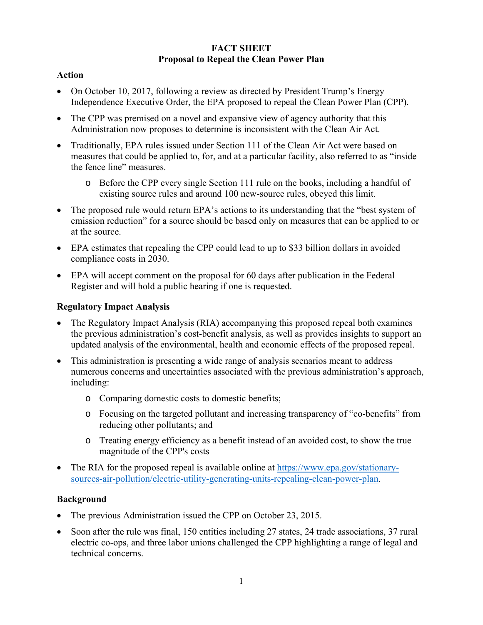# **FACT SHEET Proposal to Repeal the Clean Power Plan**

# **Action**

- On October 10, 2017, following a review as directed by President Trump's Energy Independence Executive Order, the EPA proposed to repeal the Clean Power Plan (CPP).
- The CPP was premised on a novel and expansive view of agency authority that this Administration now proposes to determine is inconsistent with the Clean Air Act.
- Traditionally, EPA rules issued under Section 111 of the Clean Air Act were based on measures that could be applied to, for, and at a particular facility, also referred to as "inside the fence line" measures.
	- o Before the CPP every single Section 111 rule on the books, including a handful of existing source rules and around 100 new-source rules, obeyed this limit.
- The proposed rule would return EPA's actions to its understanding that the "best system of emission reduction" for a source should be based only on measures that can be applied to or at the source.
- EPA estimates that repealing the CPP could lead to up to \$33 billion dollars in avoided compliance costs in 2030.
- EPA will accept comment on the proposal for 60 days after publication in the Federal Register and will hold a public hearing if one is requested.

# **Regulatory Impact Analysis**

- The Regulatory Impact Analysis (RIA) accompanying this proposed repeal both examines the previous administration's cost-benefit analysis, as well as provides insights to support an updated analysis of the environmental, health and economic effects of the proposed repeal.
- This administration is presenting a wide range of analysis scenarios meant to address numerous concerns and uncertainties associated with the previous administration's approach, including:
	- o Comparing domestic costs to domestic benefits;
	- o Focusing on the targeted pollutant and increasing transparency of "co-benefits" from reducing other pollutants; and
	- o Treating energy efficiency as a benefit instead of an avoided cost, to show the true magnitude of the CPP's costs
- The RIA for the proposed repeal is available online at https://www.epa.gov/stationarysources-air-pollution/electric-utility-generating-units-repealing-clean-power-plan.

# **Background**

- The previous Administration issued the CPP on October 23, 2015.
- Soon after the rule was final, 150 entities including 27 states, 24 trade associations, 37 rural electric co-ops, and three labor unions challenged the CPP highlighting a range of legal and technical concerns.